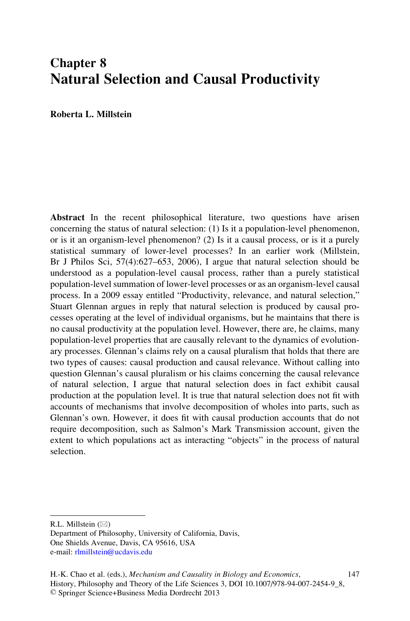# Chapter 8 Natural Selection and Causal Productivity

Roberta L. Millstein

Abstract In the recent philosophical literature, two questions have arisen concerning the status of natural selection: (1) Is it a population-level phenomenon, or is it an organism-level phenomenon? (2) Is it a causal process, or is it a purely statistical summary of lower-level processes? In an earlier work (Millstein, Br J Philos Sci, 57(4):627–653, 2006), I argue that natural selection should be understood as a population-level causal process, rather than a purely statistical population-level summation of lower-level processes or as an organism-level causal process. In a 2009 essay entitled "Productivity, relevance, and natural selection," Stuart Glennan argues in reply that natural selection is produced by causal processes operating at the level of individual organisms, but he maintains that there is no causal productivity at the population level. However, there are, he claims, many population-level properties that are causally relevant to the dynamics of evolutionary processes. Glennan's claims rely on a causal pluralism that holds that there are two types of causes: causal production and causal relevance. Without calling into question Glennan's causal pluralism or his claims concerning the causal relevance of natural selection, I argue that natural selection does in fact exhibit causal production at the population level. It is true that natural selection does not fit with accounts of mechanisms that involve decomposition of wholes into parts, such as Glennan's own. However, it does fit with causal production accounts that do not require decomposition, such as Salmon's Mark Transmission account, given the extent to which populations act as interacting "objects" in the process of natural selection.

R.L. Millstein  $(\boxtimes)$ 

Department of Philosophy, University of California, Davis, One Shields Avenue, Davis, CA 95616, USA e-mail: [rlmillstein@ucdavis.edu](mailto:rlmillstein@ucdavis.edu)

H.-K. Chao et al. (eds.), Mechanism and Causality in Biology and Economics, History, Philosophy and Theory of the Life Sciences 3, DOI 10.1007/978-94-007-2454-9\_8, © Springer Science+Business Media Dordrecht 2013 147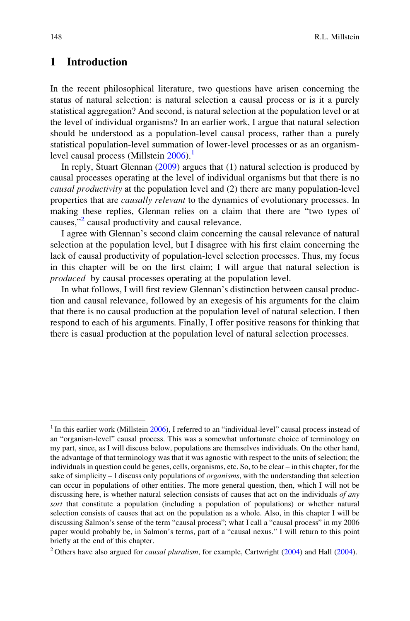# 1 Introduction

In the recent philosophical literature, two questions have arisen concerning the status of natural selection: is natural selection a causal process or is it a purely statistical aggregation? And second, is natural selection at the population level or at the level of individual organisms? In an earlier work, I argue that natural selection should be understood as a population-level causal process, rather than a purely statistical population-level summation of lower-level processes or as an organismlevel causal process (Millstein  $2006$ ).<sup>1</sup>

In reply, Stuart Glennan ([2009\)](#page-15-0) argues that (1) natural selection is produced by causal processes operating at the level of individual organisms but that there is no causal productivity at the population level and (2) there are many population-level properties that are causally relevant to the dynamics of evolutionary processes. In making these replies, Glennan relies on a claim that there are "two types of causes,"<sup>2</sup> causal productivity and causal relevance.

I agree with Glennan's second claim concerning the causal relevance of natural selection at the population level, but I disagree with his first claim concerning the lack of causal productivity of population-level selection processes. Thus, my focus in this chapter will be on the first claim; I will argue that natural selection is produced by causal processes operating at the population level.

In what follows, I will first review Glennan's distinction between causal production and causal relevance, followed by an exegesis of his arguments for the claim that there is no causal production at the population level of natural selection. I then respond to each of his arguments. Finally, I offer positive reasons for thinking that there is casual production at the population level of natural selection processes.

<sup>&</sup>lt;sup>1</sup> In this earlier work (Millstein [2006\)](#page-16-0), I referred to an "individual-level" causal process instead of an "organism-level" causal process. This was a somewhat unfortunate choice of terminology on my part, since, as I will discuss below, populations are themselves individuals. On the other hand, the advantage of that terminology was that it was agnostic with respect to the units of selection; the individuals in question could be genes, cells, organisms, etc. So, to be clear – in this chapter, for the sake of simplicity – I discuss only populations of *organisms*, with the understanding that selection can occur in populations of other entities. The more general question, then, which I will not be discussing here, is whether natural selection consists of causes that act on the individuals of any sort that constitute a population (including a population of populations) or whether natural selection consists of causes that act on the population as a whole. Also, in this chapter I will be discussing Salmon's sense of the term "causal process"; what I call a "causal process" in my 2006 paper would probably be, in Salmon's terms, part of a "causal nexus." I will return to this point briefly at the end of this chapter.

<sup>&</sup>lt;sup>2</sup> Others have also argued for *causal pluralism*, for example, Cartwright ([2004\)](#page-15-0) and Hall [\(2004](#page-15-0)).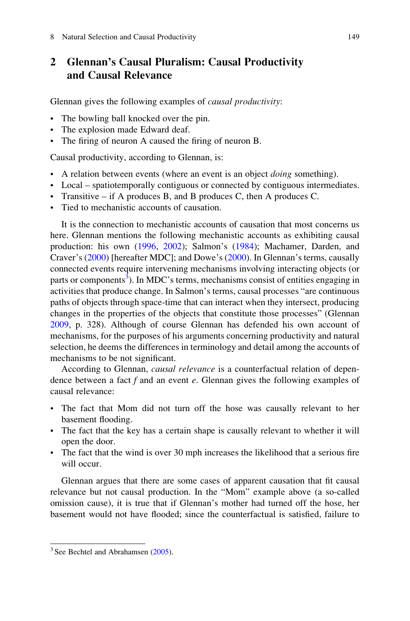# 2 Glennan's Causal Pluralism: Causal Productivity and Causal Relevance

Glennan gives the following examples of causal productivity:

- The bowling ball knocked over the pin.
- The explosion made Edward deaf.
- The firing of neuron A caused the firing of neuron B.

Causal productivity, according to Glennan, is:

- A relation between events (where an event is an object *doing* something).
- Local spatiotemporally contiguous or connected by contiguous intermediates.
- Transitive if A produces B, and B produces C, then A produces C.
- Tied to mechanistic accounts of causation.

It is the connection to mechanistic accounts of causation that most concerns us here. Glennan mentions the following mechanistic accounts as exhibiting causal production: his own [\(1996](#page-15-0), [2002\)](#page-15-0); Salmon's [\(1984](#page-16-0)); Machamer, Darden, and Craver's ([2000\)](#page-16-0) [hereafter MDC]; and Dowe's [\(2000](#page-15-0)). In Glennan's terms, causally connected events require intervening mechanisms involving interacting objects (or parts or components<sup>3</sup>). In MDC's terms, mechanisms consist of entities engaging in activities that produce change. In Salmon's terms, causal processes "are continuous paths of objects through space-time that can interact when they intersect, producing changes in the properties of the objects that constitute those processes" (Glennan [2009,](#page-15-0) p. 328). Although of course Glennan has defended his own account of mechanisms, for the purposes of his arguments concerning productivity and natural selection, he deems the differences in terminology and detail among the accounts of mechanisms to be not significant.

According to Glennan, *causal relevance* is a counterfactual relation of dependence between a fact f and an event  $e$ . Glennan gives the following examples of causal relevance:

- The fact that Mom did not turn off the hose was causally relevant to her basement flooding.
- The fact that the key has a certain shape is causally relevant to whether it will open the door.
- The fact that the wind is over 30 mph increases the likelihood that a serious fire will occur.

Glennan argues that there are some cases of apparent causation that fit causal relevance but not causal production. In the "Mom" example above (a so-called omission cause), it is true that if Glennan's mother had turned off the hose, her basement would not have flooded; since the counterfactual is satisfied, failure to

 $3$  See Bechtel and Abrahamsen [\(2005](#page-15-0)).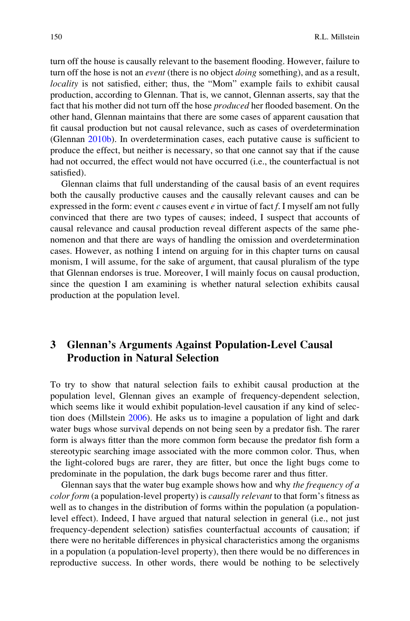turn off the house is causally relevant to the basement flooding. However, failure to turn off the hose is not an *event* (there is no object *doing* something), and as a result, locality is not satisfied, either; thus, the "Mom" example fails to exhibit causal production, according to Glennan. That is, we cannot, Glennan asserts, say that the fact that his mother did not turn off the hose produced her flooded basement. On the other hand, Glennan maintains that there are some cases of apparent causation that fit causal production but not causal relevance, such as cases of overdetermination (Glennan [2010b](#page-15-0)). In overdetermination cases, each putative cause is sufficient to produce the effect, but neither is necessary, so that one cannot say that if the cause had not occurred, the effect would not have occurred (i.e., the counterfactual is not satisfied).

Glennan claims that full understanding of the causal basis of an event requires both the causally productive causes and the causally relevant causes and can be expressed in the form: event c causes event e in virtue of fact f. I myself am not fully convinced that there are two types of causes; indeed, I suspect that accounts of causal relevance and causal production reveal different aspects of the same phenomenon and that there are ways of handling the omission and overdetermination cases. However, as nothing I intend on arguing for in this chapter turns on causal monism, I will assume, for the sake of argument, that causal pluralism of the type that Glennan endorses is true. Moreover, I will mainly focus on causal production, since the question I am examining is whether natural selection exhibits causal production at the population level.

# 3 Glennan's Arguments Against Population-Level Causal Production in Natural Selection

To try to show that natural selection fails to exhibit causal production at the population level, Glennan gives an example of frequency-dependent selection, which seems like it would exhibit population-level causation if any kind of selection does (Millstein [2006\)](#page-16-0). He asks us to imagine a population of light and dark water bugs whose survival depends on not being seen by a predator fish. The rarer form is always fitter than the more common form because the predator fish form a stereotypic searching image associated with the more common color. Thus, when the light-colored bugs are rarer, they are fitter, but once the light bugs come to predominate in the population, the dark bugs become rarer and thus fitter.

Glennan says that the water bug example shows how and why the frequency of  $a$ color form (a population-level property) is *causally relevant* to that form's fitness as well as to changes in the distribution of forms within the population (a populationlevel effect). Indeed, I have argued that natural selection in general (i.e., not just frequency-dependent selection) satisfies counterfactual accounts of causation; if there were no heritable differences in physical characteristics among the organisms in a population (a population-level property), then there would be no differences in reproductive success. In other words, there would be nothing to be selectively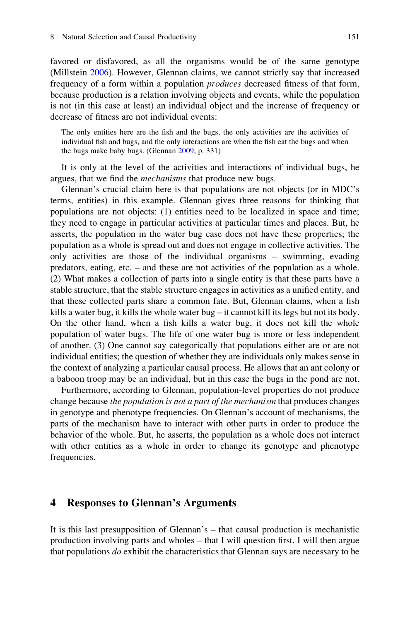favored or disfavored, as all the organisms would be of the same genotype (Millstein [2006\)](#page-16-0). However, Glennan claims, we cannot strictly say that increased frequency of a form within a population produces decreased fitness of that form, because production is a relation involving objects and events, while the population is not (in this case at least) an individual object and the increase of frequency or decrease of fitness are not individual events:

The only entities here are the fish and the bugs, the only activities are the activities of individual fish and bugs, and the only interactions are when the fish eat the bugs and when the bugs make baby bugs. (Glennan [2009,](#page-15-0) p. 331)

It is only at the level of the activities and interactions of individual bugs, he argues, that we find the *mechanisms* that produce new bugs.

Glennan's crucial claim here is that populations are not objects (or in MDC's terms, entities) in this example. Glennan gives three reasons for thinking that populations are not objects: (1) entities need to be localized in space and time; they need to engage in particular activities at particular times and places. But, he asserts, the population in the water bug case does not have these properties; the population as a whole is spread out and does not engage in collective activities. The only activities are those of the individual organisms – swimming, evading predators, eating, etc. – and these are not activities of the population as a whole. (2) What makes a collection of parts into a single entity is that these parts have a stable structure, that the stable structure engages in activities as a unified entity, and that these collected parts share a common fate. But, Glennan claims, when a fish kills a water bug, it kills the whole water bug  $-$  it cannot kill its legs but not its body. On the other hand, when a fish kills a water bug, it does not kill the whole population of water bugs. The life of one water bug is more or less independent of another. (3) One cannot say categorically that populations either are or are not individual entities; the question of whether they are individuals only makes sense in the context of analyzing a particular causal process. He allows that an ant colony or a baboon troop may be an individual, but in this case the bugs in the pond are not.

Furthermore, according to Glennan, population-level properties do not produce change because *the population is not a part of the mechanism* that produces changes in genotype and phenotype frequencies. On Glennan's account of mechanisms, the parts of the mechanism have to interact with other parts in order to produce the behavior of the whole. But, he asserts, the population as a whole does not interact with other entities as a whole in order to change its genotype and phenotype frequencies.

#### 4 Responses to Glennan's Arguments

It is this last presupposition of Glennan's – that causal production is mechanistic production involving parts and wholes – that I will question first. I will then argue that populations do exhibit the characteristics that Glennan says are necessary to be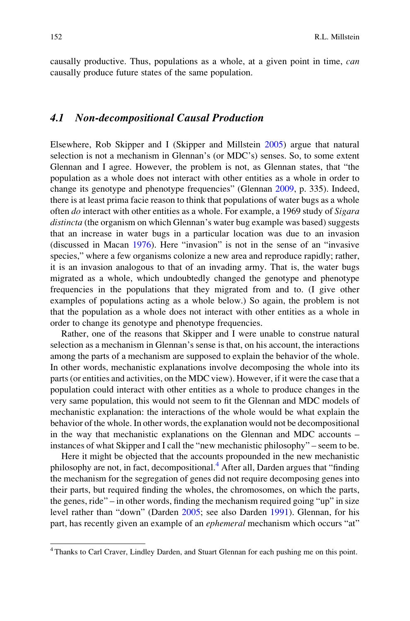causally productive. Thus, populations as a whole, at a given point in time, can causally produce future states of the same population.

#### 4.1 Non-decompositional Causal Production

Elsewhere, Rob Skipper and I (Skipper and Millstein [2005\)](#page-16-0) argue that natural selection is not a mechanism in Glennan's (or MDC's) senses. So, to some extent Glennan and I agree. However, the problem is not, as Glennan states, that "the population as a whole does not interact with other entities as a whole in order to change its genotype and phenotype frequencies" (Glennan [2009](#page-15-0), p. 335). Indeed, there is at least prima facie reason to think that populations of water bugs as a whole often do interact with other entities as a whole. For example, a 1969 study of Sigara distincta (the organism on which Glennan's water bug example was based) suggests that an increase in water bugs in a particular location was due to an invasion (discussed in Macan [1976](#page-16-0)). Here "invasion" is not in the sense of an "invasive species," where a few organisms colonize a new area and reproduce rapidly; rather, it is an invasion analogous to that of an invading army. That is, the water bugs migrated as a whole, which undoubtedly changed the genotype and phenotype frequencies in the populations that they migrated from and to. (I give other examples of populations acting as a whole below.) So again, the problem is not that the population as a whole does not interact with other entities as a whole in order to change its genotype and phenotype frequencies.

Rather, one of the reasons that Skipper and I were unable to construe natural selection as a mechanism in Glennan's sense is that, on his account, the interactions among the parts of a mechanism are supposed to explain the behavior of the whole. In other words, mechanistic explanations involve decomposing the whole into its parts (or entities and activities, on the MDC view). However, if it were the case that a population could interact with other entities as a whole to produce changes in the very same population, this would not seem to fit the Glennan and MDC models of mechanistic explanation: the interactions of the whole would be what explain the behavior of the whole. In other words, the explanation would not be decompositional in the way that mechanistic explanations on the Glennan and MDC accounts – instances of what Skipper and I call the "new mechanistic philosophy" – seem to be.

Here it might be objected that the accounts propounded in the new mechanistic philosophy are not, in fact, decompositional.<sup>4</sup> After all, Darden argues that "finding the mechanism for the segregation of genes did not require decomposing genes into their parts, but required finding the wholes, the chromosomes, on which the parts, the genes, ride" – in other words, finding the mechanism required going "up" in size level rather than "down" (Darden [2005;](#page-15-0) see also Darden [1991\)](#page-15-0). Glennan, for his part, has recently given an example of an ephemeral mechanism which occurs "at"

<sup>&</sup>lt;sup>4</sup> Thanks to Carl Craver, Lindley Darden, and Stuart Glennan for each pushing me on this point.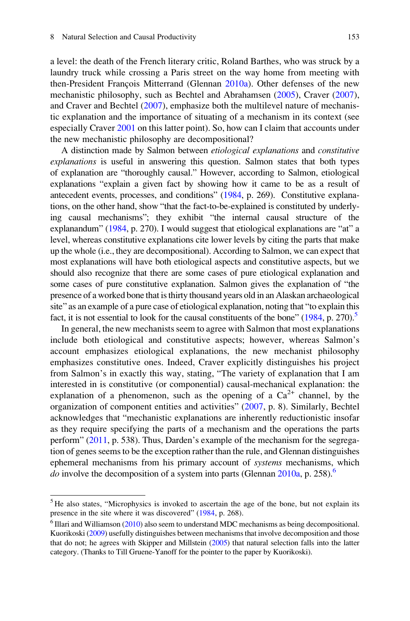a level: the death of the French literary critic, Roland Barthes, who was struck by a laundry truck while crossing a Paris street on the way home from meeting with then-President Francois Mitterrand (Glennan [2010a](#page-15-0)). Other defenses of the new mechanistic philosophy, such as Bechtel and Abrahamsen ([2005\)](#page-15-0), Craver ([2007\)](#page-15-0), and Craver and Bechtel [\(2007](#page-15-0)), emphasize both the multilevel nature of mechanistic explanation and the importance of situating of a mechanism in its context (see especially Craver [2001](#page-15-0) on this latter point). So, how can I claim that accounts under the new mechanistic philosophy are decompositional?

A distinction made by Salmon between etiological explanations and constitutive explanations is useful in answering this question. Salmon states that both types of explanation are "thoroughly causal." However, according to Salmon, etiological explanations "explain a given fact by showing how it came to be as a result of antecedent events, processes, and conditions" ([1984,](#page-16-0) p. 269). Constitutive explanations, on the other hand, show "that the fact-to-be-explained is constituted by underlying causal mechanisms"; they exhibit "the internal causal structure of the explanandum" [\(1984](#page-16-0), p. 270). I would suggest that etiological explanations are "at" a level, whereas constitutive explanations cite lower levels by citing the parts that make up the whole (i.e., they are decompositional). According to Salmon, we can expect that most explanations will have both etiological aspects and constitutive aspects, but we should also recognize that there are some cases of pure etiological explanation and some cases of pure constitutive explanation. Salmon gives the explanation of "the presence of a worked bone that is thirty thousand years old in an Alaskan archaeological site" as an example of a pure case of etiological explanation, noting that "to explain this fact, it is not essential to look for the causal constituents of the bone"  $(1984, p. 270)^5$  $(1984, p. 270)^5$ 

In general, the new mechanists seem to agree with Salmon that most explanations include both etiological and constitutive aspects; however, whereas Salmon's account emphasizes etiological explanations, the new mechanist philosophy emphasizes constitutive ones. Indeed, Craver explicitly distinguishes his project from Salmon's in exactly this way, stating, "The variety of explanation that I am interested in is constitutive (or componential) causal-mechanical explanation: the explanation of a phenomenon, such as the opening of a  $Ca^{2+}$  channel, by the organization of component entities and activities" [\(2007](#page-15-0), p. 8). Similarly, Bechtel acknowledges that "mechanistic explanations are inherently reductionistic insofar as they require specifying the parts of a mechanism and the operations the parts perform" ([2011](#page-15-0), p. 538). Thus, Darden's example of the mechanism for the segregation of genes seems to be the exception rather than the rule, and Glennan distinguishes ephemeral mechanisms from his primary account of systems mechanisms, which do involve the decomposition of a system into parts (Glennan  $2010a$ , p. 258).<sup>6</sup>

 $<sup>5</sup>$  He also states, "Microphysics is invoked to ascertain the age of the bone, but not explain its</sup> presence in the site where it was discovered" [\(1984](#page-16-0), p. 268).

 $<sup>6</sup>$  Illari and Williamson ([2010](#page-16-0)) also seem to understand MDC mechanisms as being decompositional.</sup> Kuorikoski ([2009](#page-16-0)) usefully distinguishes between mechanisms that involve decomposition and those that do not; he agrees with Skipper and Millstein [\(2005\)](#page-16-0) that natural selection falls into the latter category. (Thanks to Till Gruene-Yanoff for the pointer to the paper by Kuorikoski).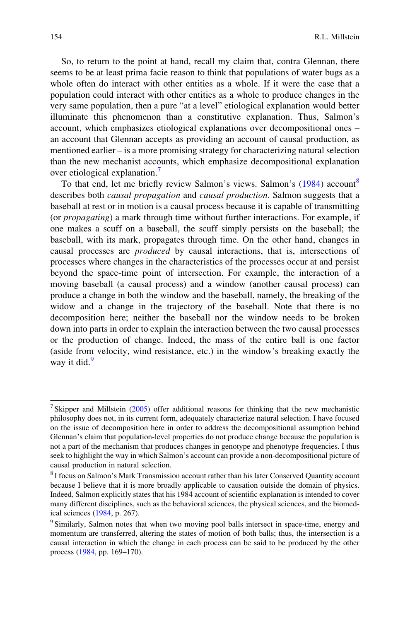So, to return to the point at hand, recall my claim that, contra Glennan, there seems to be at least prima facie reason to think that populations of water bugs as a whole often do interact with other entities as a whole. If it were the case that a population could interact with other entities as a whole to produce changes in the very same population, then a pure "at a level" etiological explanation would better illuminate this phenomenon than a constitutive explanation. Thus, Salmon's account, which emphasizes etiological explanations over decompositional ones – an account that Glennan accepts as providing an account of causal production, as mentioned earlier – is a more promising strategy for characterizing natural selection than the new mechanist accounts, which emphasize decompositional explanation over etiological explanation.<sup>7</sup>

To that end, let me briefly review Salmon's views. Salmon's ([1984\)](#page-16-0) account<sup>8</sup> describes both causal propagation and causal production. Salmon suggests that a baseball at rest or in motion is a causal process because it is capable of transmitting (or *propagating*) a mark through time without further interactions. For example, if one makes a scuff on a baseball, the scuff simply persists on the baseball; the baseball, with its mark, propagates through time. On the other hand, changes in causal processes are produced by causal interactions, that is, intersections of processes where changes in the characteristics of the processes occur at and persist beyond the space-time point of intersection. For example, the interaction of a moving baseball (a causal process) and a window (another causal process) can produce a change in both the window and the baseball, namely, the breaking of the widow and a change in the trajectory of the baseball. Note that there is no decomposition here; neither the baseball nor the window needs to be broken down into parts in order to explain the interaction between the two causal processes or the production of change. Indeed, the mass of the entire ball is one factor (aside from velocity, wind resistance, etc.) in the window's breaking exactly the way it did.<sup>9</sup>

<sup>&</sup>lt;sup>7</sup> Skipper and Millstein [\(2005](#page-16-0)) offer additional reasons for thinking that the new mechanistic philosophy does not, in its current form, adequately characterize natural selection. I have focused on the issue of decomposition here in order to address the decompositional assumption behind Glennan's claim that population-level properties do not produce change because the population is not a part of the mechanism that produces changes in genotype and phenotype frequencies. I thus seek to highlight the way in which Salmon's account can provide a non-decompositional picture of causal production in natural selection.

<sup>&</sup>lt;sup>8</sup> I focus on Salmon's Mark Transmission account rather than his later Conserved Quantity account because I believe that it is more broadly applicable to causation outside the domain of physics. Indeed, Salmon explicitly states that his 1984 account of scientific explanation is intended to cover many different disciplines, such as the behavioral sciences, the physical sciences, and the biomedical sciences [\(1984](#page-16-0), p. 267).

<sup>9</sup> Similarly, Salmon notes that when two moving pool balls intersect in space-time, energy and momentum are transferred, altering the states of motion of both balls; thus, the intersection is a causal interaction in which the change in each process can be said to be produced by the other process [\(1984](#page-16-0), pp. 169–170).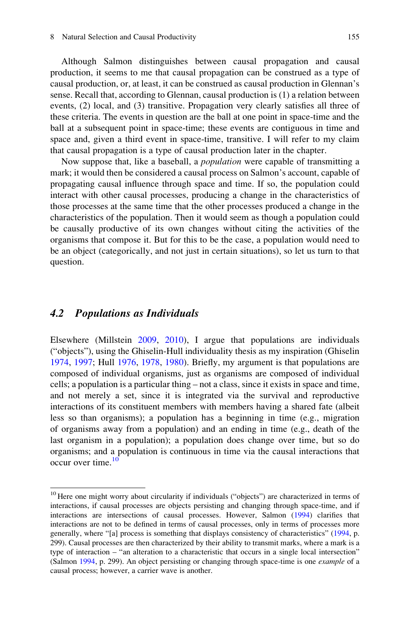Although Salmon distinguishes between causal propagation and causal production, it seems to me that causal propagation can be construed as a type of causal production, or, at least, it can be construed as causal production in Glennan's sense. Recall that, according to Glennan, causal production is (1) a relation between events, (2) local, and (3) transitive. Propagation very clearly satisfies all three of these criteria. The events in question are the ball at one point in space-time and the ball at a subsequent point in space-time; these events are contiguous in time and space and, given a third event in space-time, transitive. I will refer to my claim that causal propagation is a type of causal production later in the chapter.

Now suppose that, like a baseball, a *population* were capable of transmitting a mark; it would then be considered a causal process on Salmon's account, capable of propagating causal influence through space and time. If so, the population could interact with other causal processes, producing a change in the characteristics of those processes at the same time that the other processes produced a change in the characteristics of the population. Then it would seem as though a population could be causally productive of its own changes without citing the activities of the organisms that compose it. But for this to be the case, a population would need to be an object (categorically, and not just in certain situations), so let us turn to that question.

#### 4.2 Populations as Individuals

Elsewhere (Millstein [2009,](#page-16-0) [2010\)](#page-16-0), I argue that populations are individuals ("objects"), using the Ghiselin-Hull individuality thesis as my inspiration (Ghiselin [1974,](#page-15-0) [1997](#page-15-0); Hull [1976,](#page-15-0) [1978](#page-15-0), [1980\)](#page-16-0). Briefly, my argument is that populations are composed of individual organisms, just as organisms are composed of individual cells; a population is a particular thing – not a class, since it exists in space and time, and not merely a set, since it is integrated via the survival and reproductive interactions of its constituent members with members having a shared fate (albeit less so than organisms); a population has a beginning in time (e.g., migration of organisms away from a population) and an ending in time (e.g., death of the last organism in a population); a population does change over time, but so do organisms; and a population is continuous in time via the causal interactions that  $\alpha$ ccur over time.<sup>10</sup>

<sup>&</sup>lt;sup>10</sup> Here one might worry about circularity if individuals ("objects") are characterized in terms of interactions, if causal processes are objects persisting and changing through space-time, and if interactions are intersections of causal processes. However, Salmon [\(1994](#page-16-0)) clarifies that interactions are not to be defined in terms of causal processes, only in terms of processes more generally, where "[a] process is something that displays consistency of characteristics" ([1994,](#page-16-0) p. 299). Causal processes are then characterized by their ability to transmit marks, where a mark is a type of interaction – "an alteration to a characteristic that occurs in a single local intersection" (Salmon [1994](#page-16-0), p. 299). An object persisting or changing through space-time is one example of a causal process; however, a carrier wave is another.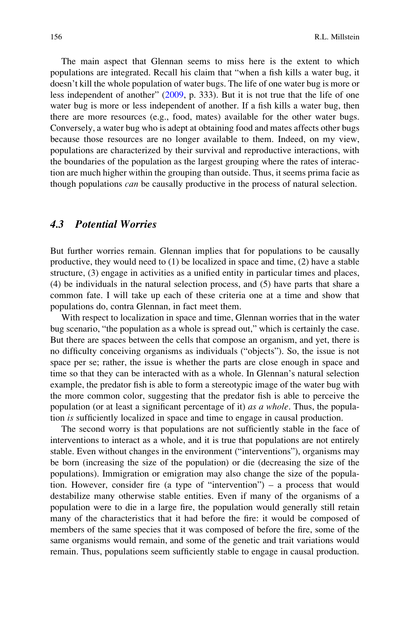The main aspect that Glennan seems to miss here is the extent to which populations are integrated. Recall his claim that "when a fish kills a water bug, it doesn't kill the whole population of water bugs. The life of one water bug is more or less independent of another" [\(2009,](#page-15-0) p. 333). But it is not true that the life of one water bug is more or less independent of another. If a fish kills a water bug, then there are more resources (e.g., food, mates) available for the other water bugs. Conversely, a water bug who is adept at obtaining food and mates affects other bugs because those resources are no longer available to them. Indeed, on my view, populations are characterized by their survival and reproductive interactions, with the boundaries of the population as the largest grouping where the rates of interaction are much higher within the grouping than outside. Thus, it seems prima facie as though populations can be causally productive in the process of natural selection.

### 4.3 Potential Worries

But further worries remain. Glennan implies that for populations to be causally productive, they would need to  $(1)$  be localized in space and time,  $(2)$  have a stable structure, (3) engage in activities as a unified entity in particular times and places, (4) be individuals in the natural selection process, and (5) have parts that share a common fate. I will take up each of these criteria one at a time and show that populations do, contra Glennan, in fact meet them.

With respect to localization in space and time, Glennan worries that in the water bug scenario, "the population as a whole is spread out," which is certainly the case. But there are spaces between the cells that compose an organism, and yet, there is no difficulty conceiving organisms as individuals ("objects"). So, the issue is not space per se; rather, the issue is whether the parts are close enough in space and time so that they can be interacted with as a whole. In Glennan's natural selection example, the predator fish is able to form a stereotypic image of the water bug with the more common color, suggesting that the predator fish is able to perceive the population (or at least a significant percentage of it) as a whole. Thus, the population is sufficiently localized in space and time to engage in causal production.

The second worry is that populations are not sufficiently stable in the face of interventions to interact as a whole, and it is true that populations are not entirely stable. Even without changes in the environment ("interventions"), organisms may be born (increasing the size of the population) or die (decreasing the size of the populations). Immigration or emigration may also change the size of the population. However, consider fire (a type of "intervention") – a process that would destabilize many otherwise stable entities. Even if many of the organisms of a population were to die in a large fire, the population would generally still retain many of the characteristics that it had before the fire: it would be composed of members of the same species that it was composed of before the fire, some of the same organisms would remain, and some of the genetic and trait variations would remain. Thus, populations seem sufficiently stable to engage in causal production.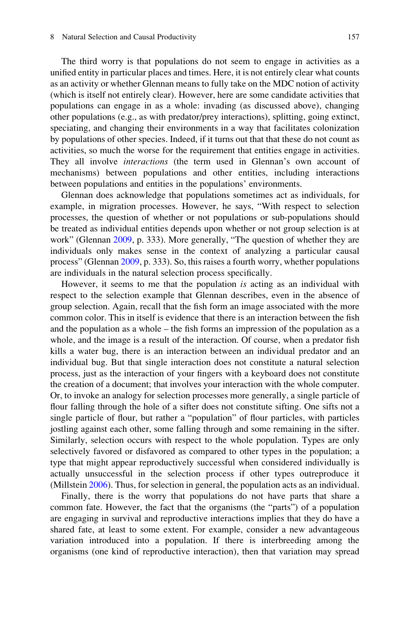The third worry is that populations do not seem to engage in activities as a unified entity in particular places and times. Here, it is not entirely clear what counts as an activity or whether Glennan means to fully take on the MDC notion of activity (which is itself not entirely clear). However, here are some candidate activities that populations can engage in as a whole: invading (as discussed above), changing other populations (e.g., as with predator/prey interactions), splitting, going extinct, speciating, and changing their environments in a way that facilitates colonization by populations of other species. Indeed, if it turns out that that these do not count as activities, so much the worse for the requirement that entities engage in activities. They all involve interactions (the term used in Glennan's own account of mechanisms) between populations and other entities, including interactions between populations and entities in the populations' environments.

Glennan does acknowledge that populations sometimes act as individuals, for example, in migration processes. However, he says, "With respect to selection processes, the question of whether or not populations or sub-populations should be treated as individual entities depends upon whether or not group selection is at work" (Glennan [2009,](#page-15-0) p. 333). More generally, "The question of whether they are individuals only makes sense in the context of analyzing a particular causal process" (Glennan [2009,](#page-15-0) p. 333). So, this raises a fourth worry, whether populations are individuals in the natural selection process specifically.

However, it seems to me that the population is acting as an individual with respect to the selection example that Glennan describes, even in the absence of group selection. Again, recall that the fish form an image associated with the more common color. This in itself is evidence that there is an interaction between the fish and the population as a whole – the fish forms an impression of the population as a whole, and the image is a result of the interaction. Of course, when a predator fish kills a water bug, there is an interaction between an individual predator and an individual bug. But that single interaction does not constitute a natural selection process, just as the interaction of your fingers with a keyboard does not constitute the creation of a document; that involves your interaction with the whole computer. Or, to invoke an analogy for selection processes more generally, a single particle of flour falling through the hole of a sifter does not constitute sifting. One sifts not a single particle of flour, but rather a "population" of flour particles, with particles jostling against each other, some falling through and some remaining in the sifter. Similarly, selection occurs with respect to the whole population. Types are only selectively favored or disfavored as compared to other types in the population; a type that might appear reproductively successful when considered individually is actually unsuccessful in the selection process if other types outreproduce it (Millstein [2006](#page-16-0)). Thus, for selection in general, the population acts as an individual.

Finally, there is the worry that populations do not have parts that share a common fate. However, the fact that the organisms (the "parts") of a population are engaging in survival and reproductive interactions implies that they do have a shared fate, at least to some extent. For example, consider a new advantageous variation introduced into a population. If there is interbreeding among the organisms (one kind of reproductive interaction), then that variation may spread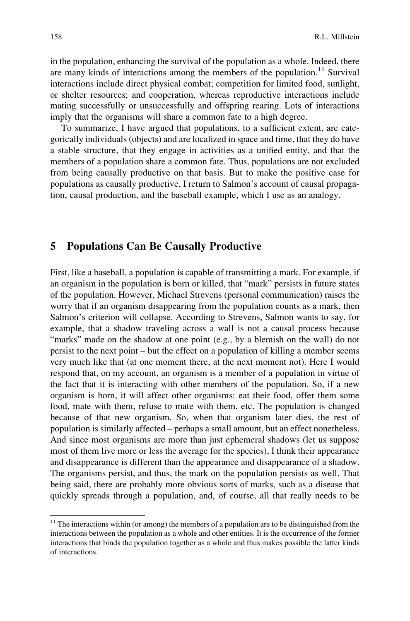in the population, enhancing the survival of the population as a whole. Indeed, there are many kinds of interactions among the members of the population.<sup>11</sup> Survival interactions include direct physical combat; competition for limited food, sunlight, or shelter resources; and cooperation, whereas reproductive interactions include mating successfully or unsuccessfully and offspring rearing. Lots of interactions imply that the organisms will share a common fate to a high degree.

To summarize, I have argued that populations, to a sufficient extent, are categorically individuals (objects) and are localized in space and time, that they do have a stable structure, that they engage in activities as a unified entity, and that the members of a population share a common fate. Thus, populations are not excluded from being causally productive on that basis. But to make the positive case for populations as causally productive, I return to Salmon's account of causal propagation, causal production, and the baseball example, which I use as an analogy.

#### 5 Populations Can Be Causally Productive

First, like a baseball, a population is capable of transmitting a mark. For example, if an organism in the population is born or killed, that "mark" persists in future states of the population. However, Michael Strevens (personal communication) raises the worry that if an organism disappearing from the population counts as a mark, then Salmon's criterion will collapse. According to Strevens, Salmon wants to say, for example, that a shadow traveling across a wall is not a causal process because "marks" made on the shadow at one point (e.g., by a blemish on the wall) do not persist to the next point – but the effect on a population of killing a member seems very much like that (at one moment there, at the next moment not). Here I would respond that, on my account, an organism is a member of a population in virtue of the fact that it is interacting with other members of the population. So, if a new organism is born, it will affect other organisms: eat their food, offer them some food, mate with them, refuse to mate with them, etc. The population is changed because of that new organism. So, when that organism later dies, the rest of population is similarly affected – perhaps a small amount, but an effect nonetheless. And since most organisms are more than just ephemeral shadows (let us suppose most of them live more or less the average for the species), I think their appearance and disappearance is different than the appearance and disappearance of a shadow. The organisms persist, and thus, the mark on the population persists as well. That being said, there are probably more obvious sorts of marks, such as a disease that quickly spreads through a population, and, of course, all that really needs to be

 $11$  The interactions within (or among) the members of a population are to be distinguished from the interactions between the population as a whole and other entities. It is the occurrence of the former interactions that binds the population together as a whole and thus makes possible the latter kinds of interactions.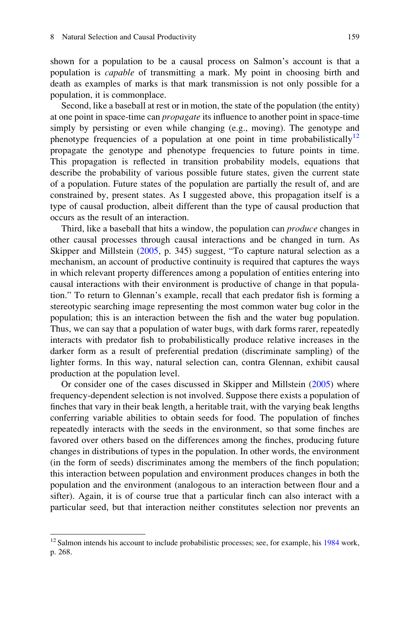shown for a population to be a causal process on Salmon's account is that a population is capable of transmitting a mark. My point in choosing birth and death as examples of marks is that mark transmission is not only possible for a population, it is commonplace.

Second, like a baseball at rest or in motion, the state of the population (the entity) at one point in space-time can propagate its influence to another point in space-time simply by persisting or even while changing (e.g., moving). The genotype and phenotype frequencies of a population at one point in time probabilistically<sup>12</sup> propagate the genotype and phenotype frequencies to future points in time. This propagation is reflected in transition probability models, equations that describe the probability of various possible future states, given the current state of a population. Future states of the population are partially the result of, and are constrained by, present states. As I suggested above, this propagation itself is a type of causal production, albeit different than the type of causal production that occurs as the result of an interaction.

Third, like a baseball that hits a window, the population can *produce* changes in other causal processes through causal interactions and be changed in turn. As Skipper and Millstein [\(2005,](#page-16-0) p. 345) suggest, "To capture natural selection as a mechanism, an account of productive continuity is required that captures the ways in which relevant property differences among a population of entities entering into causal interactions with their environment is productive of change in that population." To return to Glennan's example, recall that each predator fish is forming a stereotypic searching image representing the most common water bug color in the population; this is an interaction between the fish and the water bug population. Thus, we can say that a population of water bugs, with dark forms rarer, repeatedly interacts with predator fish to probabilistically produce relative increases in the darker form as a result of preferential predation (discriminate sampling) of the lighter forms. In this way, natural selection can, contra Glennan, exhibit causal production at the population level.

Or consider one of the cases discussed in Skipper and Millstein [\(2005](#page-16-0)) where frequency-dependent selection is not involved. Suppose there exists a population of finches that vary in their beak length, a heritable trait, with the varying beak lengths conferring variable abilities to obtain seeds for food. The population of finches repeatedly interacts with the seeds in the environment, so that some finches are favored over others based on the differences among the finches, producing future changes in distributions of types in the population. In other words, the environment (in the form of seeds) discriminates among the members of the finch population; this interaction between population and environment produces changes in both the population and the environment (analogous to an interaction between flour and a sifter). Again, it is of course true that a particular finch can also interact with a particular seed, but that interaction neither constitutes selection nor prevents an

<sup>&</sup>lt;sup>12</sup> Salmon intends his account to include probabilistic processes; see, for example, his [1984](#page-16-0) work, p. 268.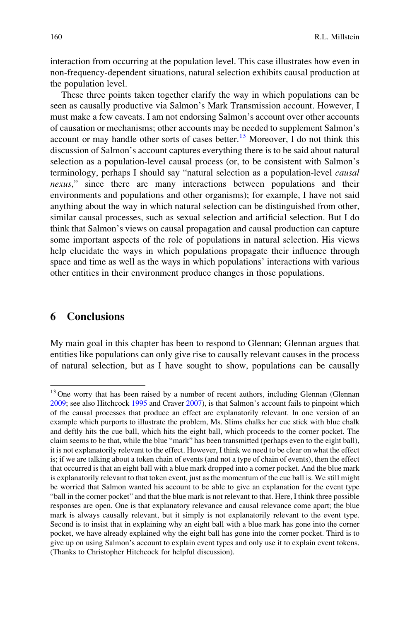interaction from occurring at the population level. This case illustrates how even in non-frequency-dependent situations, natural selection exhibits causal production at the population level.

These three points taken together clarify the way in which populations can be seen as causally productive via Salmon's Mark Transmission account. However, I must make a few caveats. I am not endorsing Salmon's account over other accounts of causation or mechanisms; other accounts may be needed to supplement Salmon's account or may handle other sorts of cases better.<sup>13</sup> Moreover, I do not think this discussion of Salmon's account captures everything there is to be said about natural selection as a population-level causal process (or, to be consistent with Salmon's terminology, perhaps I should say "natural selection as a population-level causal nexus," since there are many interactions between populations and their environments and populations and other organisms); for example, I have not said anything about the way in which natural selection can be distinguished from other, similar causal processes, such as sexual selection and artificial selection. But I do think that Salmon's views on causal propagation and causal production can capture some important aspects of the role of populations in natural selection. His views help elucidate the ways in which populations propagate their influence through space and time as well as the ways in which populations' interactions with various other entities in their environment produce changes in those populations.

## 6 Conclusions

My main goal in this chapter has been to respond to Glennan; Glennan argues that entities like populations can only give rise to causally relevant causes in the process of natural selection, but as I have sought to show, populations can be causally

<sup>&</sup>lt;sup>13</sup> One worry that has been raised by a number of recent authors, including Glennan (Glennan [2009;](#page-15-0) see also Hitchcock [1995](#page-15-0) and Craver [2007\)](#page-15-0), is that Salmon's account fails to pinpoint which of the causal processes that produce an effect are explanatorily relevant. In one version of an example which purports to illustrate the problem, Ms. Slims chalks her cue stick with blue chalk and deftly hits the cue ball, which hits the eight ball, which proceeds to the corner pocket. The claim seems to be that, while the blue "mark" has been transmitted (perhaps even to the eight ball), it is not explanatorily relevant to the effect. However, I think we need to be clear on what the effect is; if we are talking about a token chain of events (and not a type of chain of events), then the effect that occurred is that an eight ball with a blue mark dropped into a corner pocket. And the blue mark is explanatorily relevant to that token event, just as the momentum of the cue ball is. We still might be worried that Salmon wanted his account to be able to give an explanation for the event type "ball in the corner pocket" and that the blue mark is not relevant to that. Here, I think three possible responses are open. One is that explanatory relevance and causal relevance come apart; the blue mark is always causally relevant, but it simply is not explanatorily relevant to the event type. Second is to insist that in explaining why an eight ball with a blue mark has gone into the corner pocket, we have already explained why the eight ball has gone into the corner pocket. Third is to give up on using Salmon's account to explain event types and only use it to explain event tokens. (Thanks to Christopher Hitchcock for helpful discussion).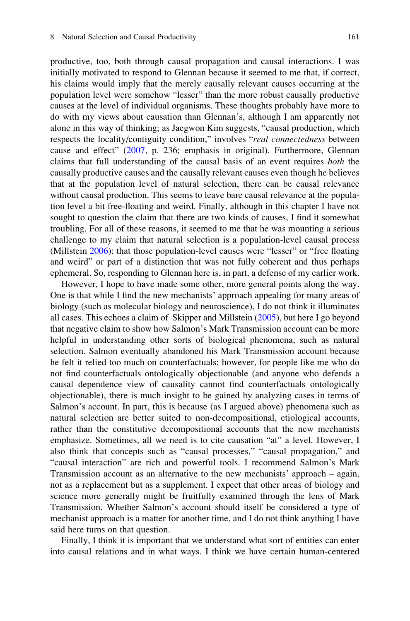productive, too, both through causal propagation and causal interactions. I was initially motivated to respond to Glennan because it seemed to me that, if correct, his claims would imply that the merely causally relevant causes occurring at the population level were somehow "lesser" than the more robust causally productive causes at the level of individual organisms. These thoughts probably have more to do with my views about causation than Glennan's, although I am apparently not alone in this way of thinking; as Jaegwon Kim suggests, "causal production, which respects the locality/contiguity condition," involves "real connectedness between cause and effect" ([2007,](#page-16-0) p. 236; emphasis in original). Furthermore, Glennan claims that full understanding of the causal basis of an event requires both the causally productive causes and the causally relevant causes even though he believes that at the population level of natural selection, there can be causal relevance without causal production. This seems to leave bare causal relevance at the population level a bit free-floating and weird. Finally, although in this chapter I have not sought to question the claim that there are two kinds of causes, I find it somewhat troubling. For all of these reasons, it seemed to me that he was mounting a serious challenge to my claim that natural selection is a population-level causal process (Millstein [2006](#page-16-0)): that those population-level causes were "lesser" or "free floating and weird" or part of a distinction that was not fully coherent and thus perhaps ephemeral. So, responding to Glennan here is, in part, a defense of my earlier work.

However, I hope to have made some other, more general points along the way. One is that while I find the new mechanists' approach appealing for many areas of biology (such as molecular biology and neuroscience), I do not think it illuminates all cases. This echoes a claim of Skipper and Millstein [\(2005](#page-16-0)), but here I go beyond that negative claim to show how Salmon's Mark Transmission account can be more helpful in understanding other sorts of biological phenomena, such as natural selection. Salmon eventually abandoned his Mark Transmission account because he felt it relied too much on counterfactuals; however, for people like me who do not find counterfactuals ontologically objectionable (and anyone who defends a causal dependence view of causality cannot find counterfactuals ontologically objectionable), there is much insight to be gained by analyzing cases in terms of Salmon's account. In part, this is because (as I argued above) phenomena such as natural selection are better suited to non-decompositional, etiological accounts, rather than the constitutive decompositional accounts that the new mechanists emphasize. Sometimes, all we need is to cite causation "at" a level. However, I also think that concepts such as "causal processes," "causal propagation," and "causal interaction" are rich and powerful tools. I recommend Salmon's Mark Transmission account as an alternative to the new mechanists' approach – again, not as a replacement but as a supplement. I expect that other areas of biology and science more generally might be fruitfully examined through the lens of Mark Transmission. Whether Salmon's account should itself be considered a type of mechanist approach is a matter for another time, and I do not think anything I have said here turns on that question.

Finally, I think it is important that we understand what sort of entities can enter into causal relations and in what ways. I think we have certain human-centered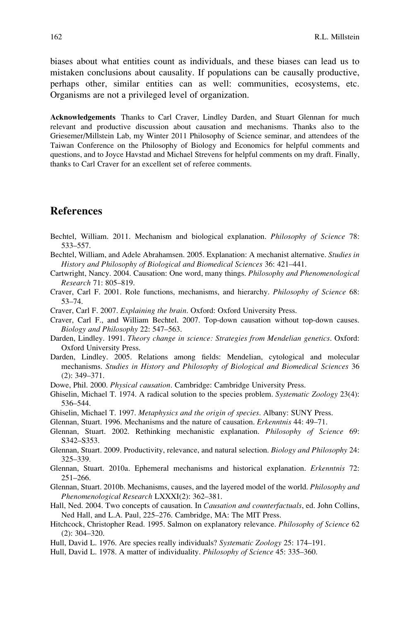<span id="page-15-0"></span>biases about what entities count as individuals, and these biases can lead us to mistaken conclusions about causality. If populations can be causally productive, perhaps other, similar entities can as well: communities, ecosystems, etc. Organisms are not a privileged level of organization.

Acknowledgements Thanks to Carl Craver, Lindley Darden, and Stuart Glennan for much relevant and productive discussion about causation and mechanisms. Thanks also to the Griesemer/Millstein Lab, my Winter 2011 Philosophy of Science seminar, and attendees of the Taiwan Conference on the Philosophy of Biology and Economics for helpful comments and questions, and to Joyce Havstad and Michael Strevens for helpful comments on my draft. Finally, thanks to Carl Craver for an excellent set of referee comments.

### References

- Bechtel, William. 2011. Mechanism and biological explanation. *Philosophy of Science* 78: 533–557.
- Bechtel, William, and Adele Abrahamsen. 2005. Explanation: A mechanist alternative. Studies in History and Philosophy of Biological and Biomedical Sciences 36: 421–441.
- Cartwright, Nancy. 2004. Causation: One word, many things. Philosophy and Phenomenological Research 71: 805–819.
- Craver, Carl F. 2001. Role functions, mechanisms, and hierarchy. Philosophy of Science 68: 53–74.
- Craver, Carl F. 2007. Explaining the brain. Oxford: Oxford University Press.
- Craver, Carl F., and William Bechtel. 2007. Top-down causation without top-down causes. Biology and Philosophy 22: 547–563.
- Darden, Lindley. 1991. Theory change in science: Strategies from Mendelian genetics. Oxford: Oxford University Press.
- Darden, Lindley. 2005. Relations among fields: Mendelian, cytological and molecular mechanisms. Studies in History and Philosophy of Biological and Biomedical Sciences 36 (2): 349–371.
- Dowe, Phil. 2000. Physical causation. Cambridge: Cambridge University Press.
- Ghiselin, Michael T. 1974. A radical solution to the species problem. Systematic Zoology 23(4): 536–544.
- Ghiselin, Michael T. 1997. Metaphysics and the origin of species. Albany: SUNY Press.
- Glennan, Stuart. 1996. Mechanisms and the nature of causation. Erkenntnis 44: 49–71.
- Glennan, Stuart. 2002. Rethinking mechanistic explanation. Philosophy of Science 69: S342–S353.
- Glennan, Stuart. 2009. Productivity, relevance, and natural selection. Biology and Philosophy 24: 325–339.
- Glennan, Stuart. 2010a. Ephemeral mechanisms and historical explanation. Erkenntnis 72: 251–266.
- Glennan, Stuart. 2010b. Mechanisms, causes, and the layered model of the world. Philosophy and Phenomenological Research LXXXI(2): 362–381.
- Hall, Ned. 2004. Two concepts of causation. In Causation and counterfactuals, ed. John Collins, Ned Hall, and L.A. Paul, 225–276. Cambridge, MA: The MIT Press.
- Hitchcock, Christopher Read. 1995. Salmon on explanatory relevance. *Philosophy of Science* 62 (2): 304–320.
- Hull, David L. 1976. Are species really individuals? Systematic Zoology 25: 174–191.
- Hull, David L. 1978. A matter of individuality. *Philosophy of Science* 45: 335–360.